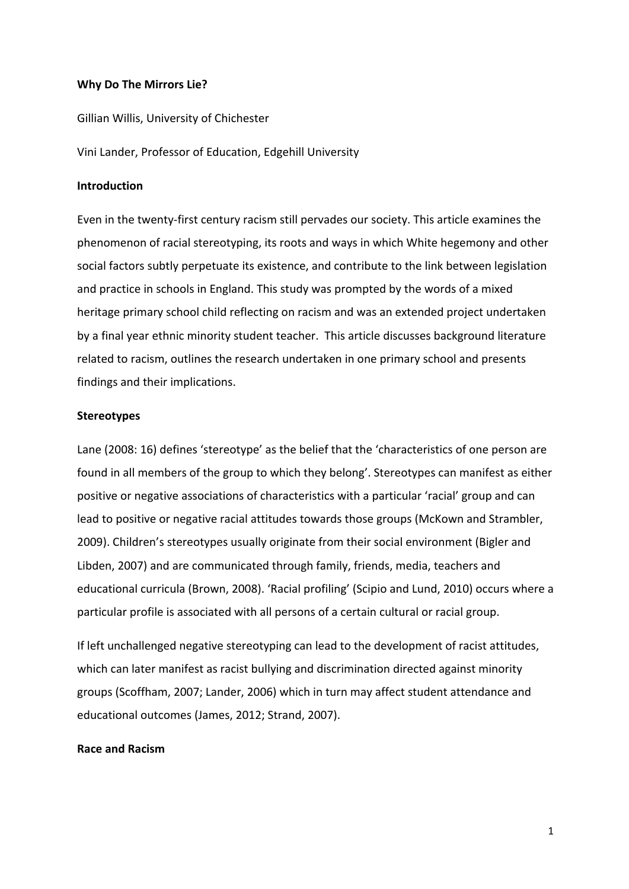## **Why Do The Mirrors Lie?**

Gillian Willis, University of Chichester

Vini Lander, Professor of Education, Edgehill University

#### **Introduction**

Even in the twenty-first century racism still pervades our society. This article examines the phenomenon of racial stereotyping, its roots and ways in which White hegemony and other social factors subtly perpetuate its existence, and contribute to the link between legislation and practice in schools in England. This study was prompted by the words of a mixed heritage primary school child reflecting on racism and was an extended project undertaken by a final year ethnic minority student teacher. This article discusses background literature related to racism, outlines the research undertaken in one primary school and presents findings and their implications.

#### **Stereotypes**

Lane (2008: 16) defines 'stereotype' as the belief that the 'characteristics of one person are found in all members of the group to which they belong'. Stereotypes can manifest as either positive or negative associations of characteristics with a particular 'racial' group and can lead to positive or negative racial attitudes towards those groups (McKown and Strambler, 2009). Children's stereotypes usually originate from their social environment (Bigler and Libden, 2007) and are communicated through family, friends, media, teachers and educational curricula (Brown, 2008). 'Racial profiling' (Scipio and Lund, 2010) occurs where a particular profile is associated with all persons of a certain cultural or racial group.

If left unchallenged negative stereotyping can lead to the development of racist attitudes, which can later manifest as racist bullying and discrimination directed against minority groups (Scoffham, 2007; Lander, 2006) which in turn may affect student attendance and educational outcomes (James, 2012; Strand, 2007).

## **Race and Racism**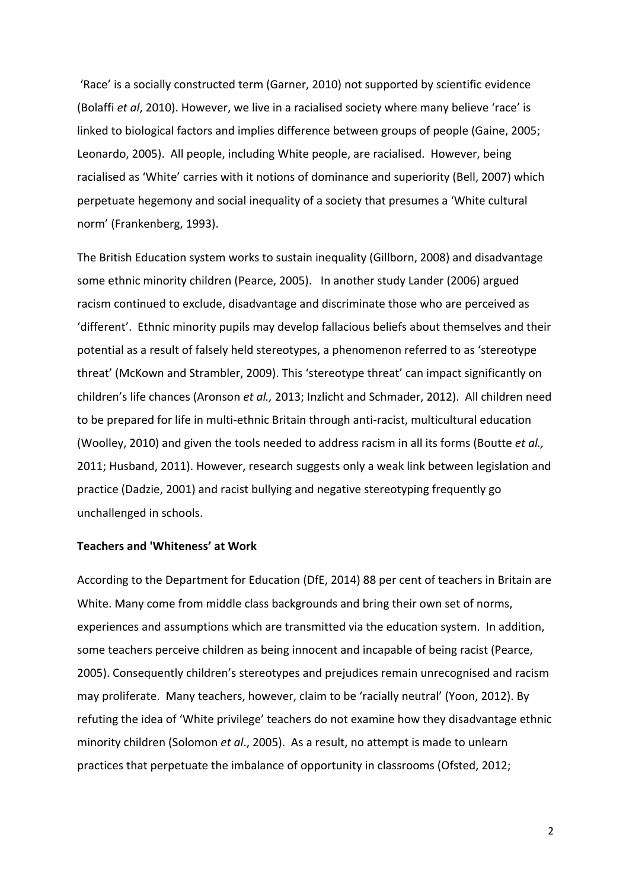'Race' is a socially constructed term (Garner, 2010) not supported by scientific evidence (Bolaffi et al, 2010). However, we live in a racialised society where many believe 'race' is linked to biological factors and implies difference between groups of people (Gaine, 2005; Leonardo, 2005). All people, including White people, are racialised. However, being racialised as 'White' carries with it notions of dominance and superiority (Bell, 2007) which perpetuate hegemony and social inequality of a society that presumes a 'White cultural norm' (Frankenberg, 1993).

The British Education system works to sustain inequality (Gillborn, 2008) and disadvantage some ethnic minority children (Pearce, 2005). In another study Lander (2006) argued racism continued to exclude, disadvantage and discriminate those who are perceived as 'different'. Ethnic minority pupils may develop fallacious beliefs about themselves and their potential as a result of falsely held stereotypes, a phenomenon referred to as 'stereotype threat' (McKown and Strambler, 2009). This 'stereotype threat' can impact significantly on children's life chances (Aronson et al., 2013; Inzlicht and Schmader, 2012). All children need to be prepared for life in multi-ethnic Britain through anti-racist, multicultural education (Woolley, 2010) and given the tools needed to address racism in all its forms (Boutte *et al.*, 2011; Husband, 2011). However, research suggests only a weak link between legislation and practice (Dadzie, 2001) and racist bullying and negative stereotyping frequently go unchallenged in schools.

### **Teachers and 'Whiteness' at Work**

According to the Department for Education (DfE, 2014) 88 per cent of teachers in Britain are White. Many come from middle class backgrounds and bring their own set of norms, experiences and assumptions which are transmitted via the education system. In addition, some teachers perceive children as being innocent and incapable of being racist (Pearce, 2005). Consequently children's stereotypes and prejudices remain unrecognised and racism may proliferate. Many teachers, however, claim to be 'racially neutral' (Yoon, 2012). By refuting the idea of 'White privilege' teachers do not examine how they disadvantage ethnic minority children (Solomon et al., 2005). As a result, no attempt is made to unlearn practices that perpetuate the imbalance of opportunity in classrooms (Ofsted, 2012;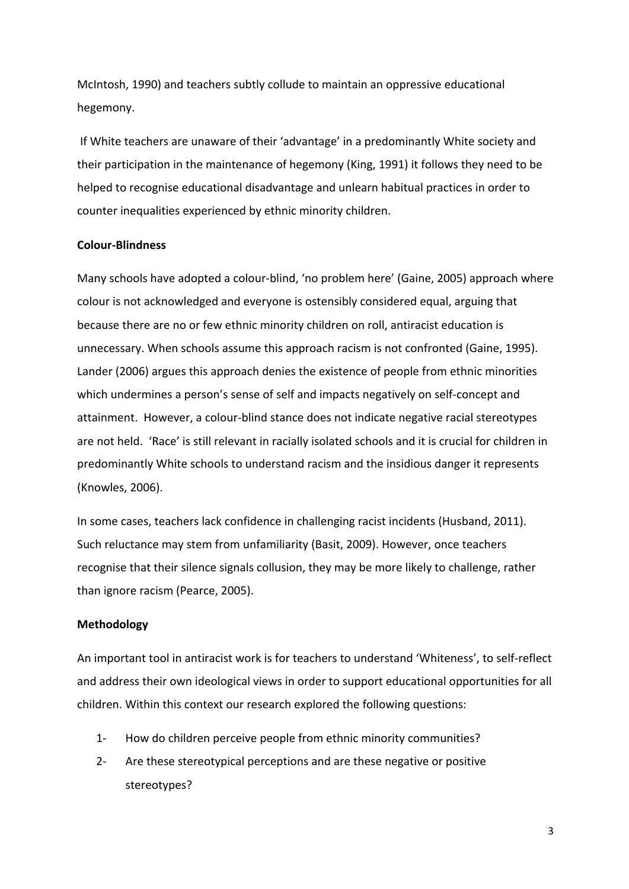McIntosh, 1990) and teachers subtly collude to maintain an oppressive educational hegemony. 

If White teachers are unaware of their 'advantage' in a predominantly White society and their participation in the maintenance of hegemony (King, 1991) it follows they need to be helped to recognise educational disadvantage and unlearn habitual practices in order to counter inequalities experienced by ethnic minority children.

## **Colour-Blindness**

Many schools have adopted a colour-blind, 'no problem here' (Gaine, 2005) approach where colour is not acknowledged and everyone is ostensibly considered equal, arguing that because there are no or few ethnic minority children on roll, antiracist education is unnecessary. When schools assume this approach racism is not confronted (Gaine, 1995). Lander (2006) argues this approach denies the existence of people from ethnic minorities which undermines a person's sense of self and impacts negatively on self-concept and attainment. However, a colour-blind stance does not indicate negative racial stereotypes are not held. 'Race' is still relevant in racially isolated schools and it is crucial for children in predominantly White schools to understand racism and the insidious danger it represents (Knowles, 2006).

In some cases, teachers lack confidence in challenging racist incidents (Husband, 2011). Such reluctance may stem from unfamiliarity (Basit, 2009). However, once teachers recognise that their silence signals collusion, they may be more likely to challenge, rather than ignore racism (Pearce, 2005).

## **Methodology**

An important tool in antiracist work is for teachers to understand 'Whiteness', to self-reflect and address their own ideological views in order to support educational opportunities for all children. Within this context our research explored the following questions:

- 1- How do children perceive people from ethnic minority communities?
- 2- Are these stereotypical perceptions and are these negative or positive stereotypes?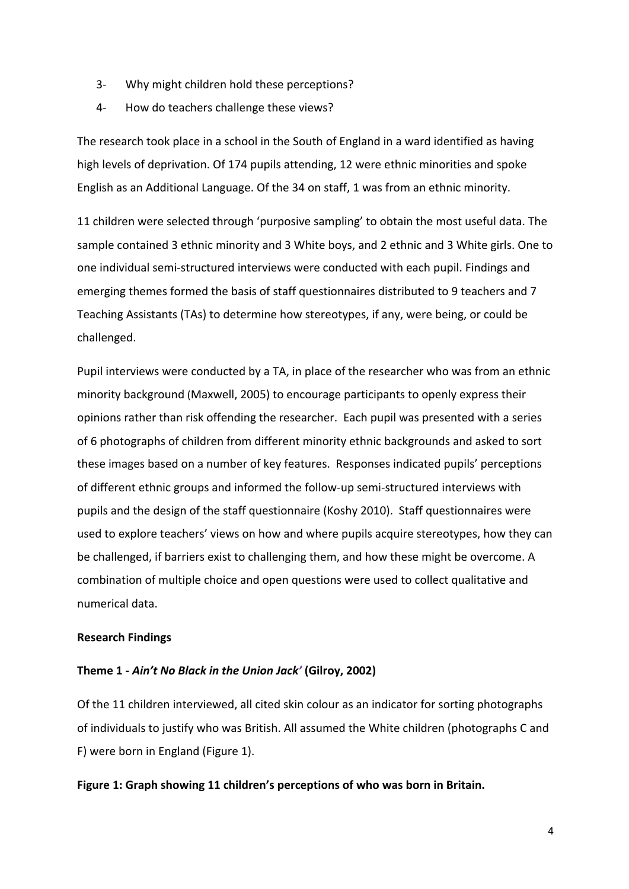- 3- Why might children hold these perceptions?
- 4- How do teachers challenge these views?

The research took place in a school in the South of England in a ward identified as having high levels of deprivation. Of 174 pupils attending, 12 were ethnic minorities and spoke English as an Additional Language. Of the 34 on staff, 1 was from an ethnic minority.

11 children were selected through 'purposive sampling' to obtain the most useful data. The sample contained 3 ethnic minority and 3 White boys, and 2 ethnic and 3 White girls. One to one individual semi-structured interviews were conducted with each pupil. Findings and emerging themes formed the basis of staff questionnaires distributed to 9 teachers and 7 Teaching Assistants (TAs) to determine how stereotypes, if any, were being, or could be challenged.

Pupil interviews were conducted by a TA, in place of the researcher who was from an ethnic minority background (Maxwell, 2005) to encourage participants to openly express their opinions rather than risk offending the researcher. Each pupil was presented with a series of 6 photographs of children from different minority ethnic backgrounds and asked to sort these images based on a number of key features. Responses indicated pupils' perceptions of different ethnic groups and informed the follow-up semi-structured interviews with pupils and the design of the staff questionnaire (Koshy 2010). Staff questionnaires were used to explore teachers' views on how and where pupils acquire stereotypes, how they can be challenged, if barriers exist to challenging them, and how these might be overcome. A combination of multiple choice and open questions were used to collect qualitative and numerical data. 

## **Research Findings**

## **Theme 1 -** *Ain't No Black in the Union Jack'* **(Gilroy, 2002)**

Of the 11 children interviewed, all cited skin colour as an indicator for sorting photographs of individuals to justify who was British. All assumed the White children (photographs C and F) were born in England (Figure 1).

#### Figure 1: Graph showing 11 children's perceptions of who was born in Britain.

4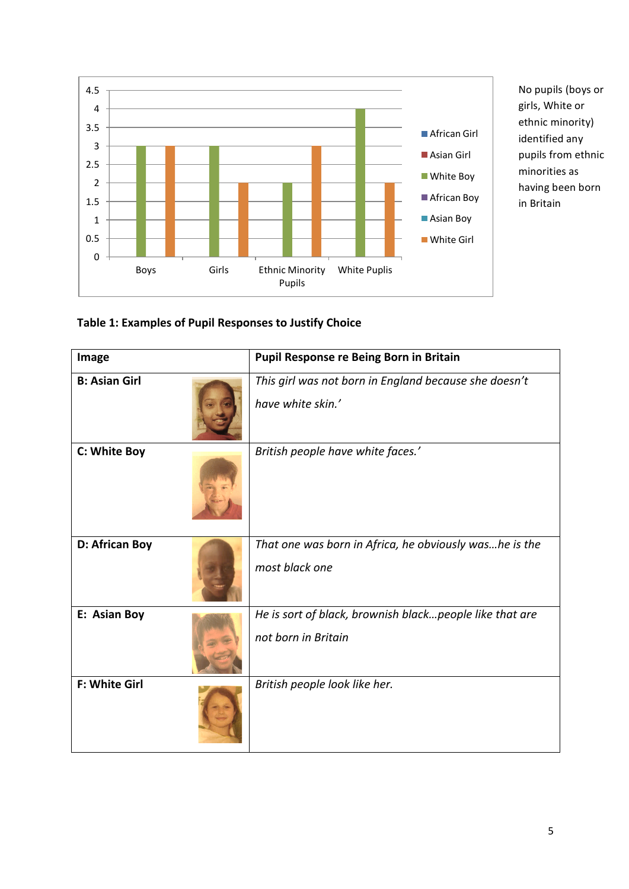

No pupils (boys or girls, White or ethnic minority) identified any pupils from ethnic minorities as having been born in Britain

# Table 1: Examples of Pupil Responses to Justify Choice

| Image                | <b>Pupil Response re Being Born in Britain</b>                                 |
|----------------------|--------------------------------------------------------------------------------|
| <b>B: Asian Girl</b> | This girl was not born in England because she doesn't<br>have white skin.'     |
| C: White Boy         | British people have white faces.'                                              |
| D: African Boy       | That one was born in Africa, he obviously washe is the<br>most black one       |
| E: Asian Boy         | He is sort of black, brownish blackpeople like that are<br>not born in Britain |
| <b>F: White Girl</b> | British people look like her.                                                  |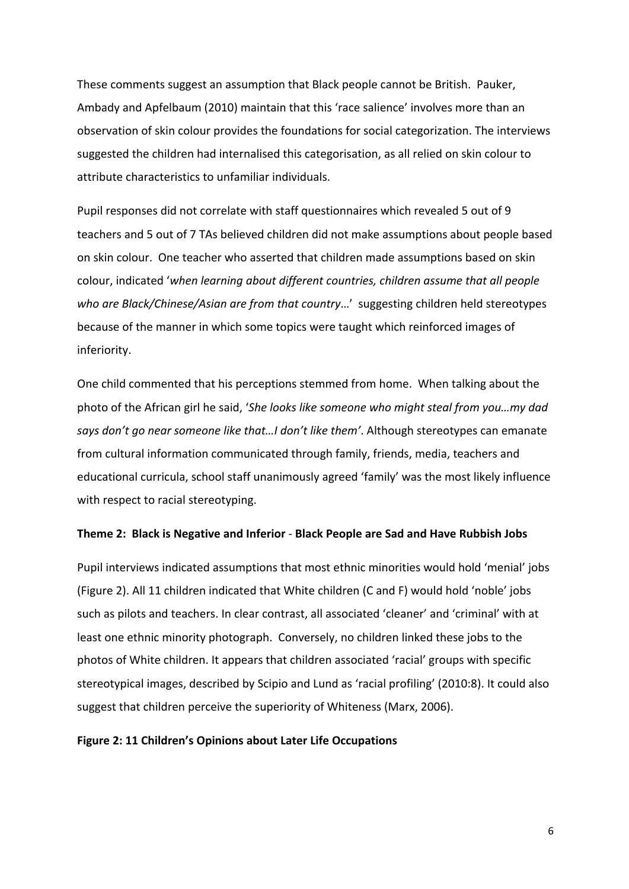These comments suggest an assumption that Black people cannot be British. Pauker, Ambady and Apfelbaum (2010) maintain that this 'race salience' involves more than an observation of skin colour provides the foundations for social categorization. The interviews suggested the children had internalised this categorisation, as all relied on skin colour to attribute characteristics to unfamiliar individuals.

Pupil responses did not correlate with staff questionnaires which revealed 5 out of 9 teachers and 5 out of 7 TAs believed children did not make assumptions about people based on skin colour. One teacher who asserted that children made assumptions based on skin colour, indicated 'when learning about different countries, children assume that all people who are Black/Chinese/Asian are from that country...' suggesting children held stereotypes because of the manner in which some topics were taught which reinforced images of inferiority. 

One child commented that his perceptions stemmed from home. When talking about the photo of the African girl he said, '*She looks like someone who might steal from you…my dad* says don't go near someone like that...I don't like them'. Although stereotypes can emanate from cultural information communicated through family, friends, media, teachers and educational curricula, school staff unanimously agreed 'family' was the most likely influence with respect to racial stereotyping.

#### **Theme 2: Black is Negative and Inferior - Black People are Sad and Have Rubbish Jobs**

Pupil interviews indicated assumptions that most ethnic minorities would hold 'menial' jobs (Figure 2). All 11 children indicated that White children (C and F) would hold 'noble' jobs such as pilots and teachers. In clear contrast, all associated 'cleaner' and 'criminal' with at least one ethnic minority photograph. Conversely, no children linked these jobs to the photos of White children. It appears that children associated 'racial' groups with specific stereotypical images, described by Scipio and Lund as 'racial profiling' (2010:8). It could also suggest that children perceive the superiority of Whiteness (Marx, 2006).

#### **Figure 2: 11 Children's Opinions about Later Life Occupations**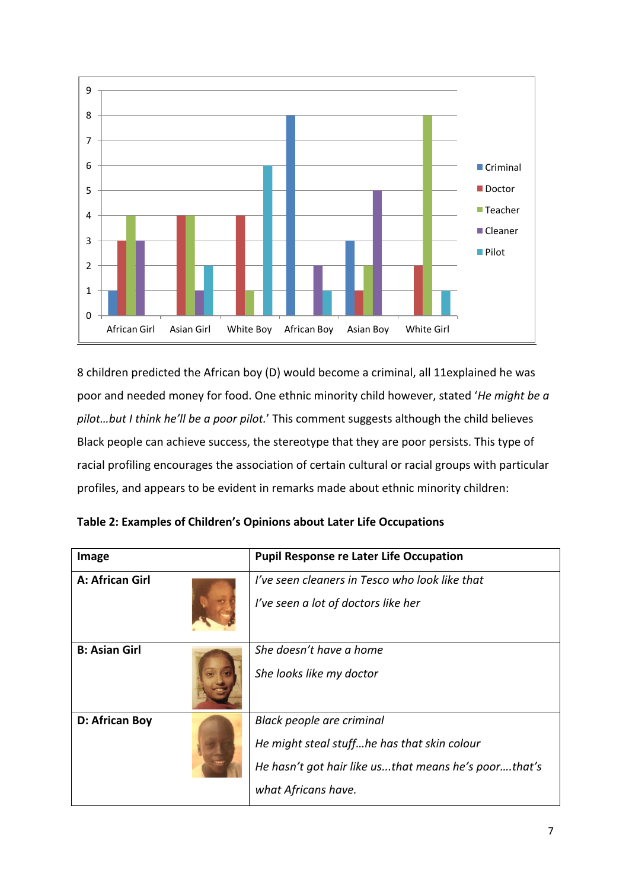

8 children predicted the African boy (D) would become a criminal, all 11explained he was poor and needed money for food. One ethnic minority child however, stated 'He might be a *pilot...but I think he'll be a poor pilot.'* This comment suggests although the child believes Black people can achieve success, the stereotype that they are poor persists. This type of racial profiling encourages the association of certain cultural or racial groups with particular profiles, and appears to be evident in remarks made about ethnic minority children:

| Table 2: Examples of Children's Opinions about Later Life Occupations |  |  |
|-----------------------------------------------------------------------|--|--|
|-----------------------------------------------------------------------|--|--|

| Image                | <b>Pupil Response re Later Life Occupation</b>                                                                                                          |
|----------------------|---------------------------------------------------------------------------------------------------------------------------------------------------------|
| A: African Girl      | I've seen cleaners in Tesco who look like that<br>I've seen a lot of doctors like her                                                                   |
| <b>B: Asian Girl</b> | She doesn't have a home<br>She looks like my doctor                                                                                                     |
| D: African Boy       | Black people are criminal<br>He might steal stuffhe has that skin colour<br>He hasn't got hair like usthat means he's poorthat's<br>what Africans have. |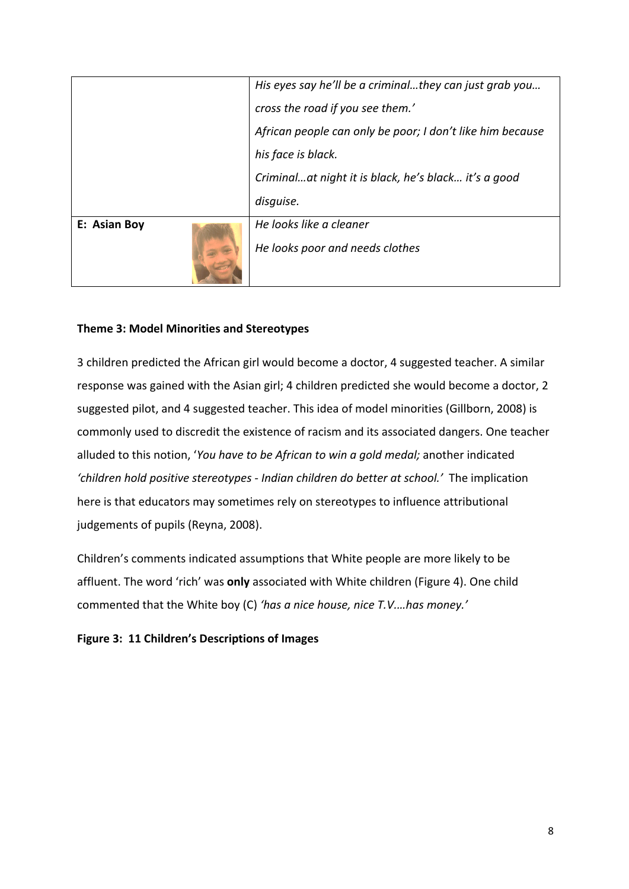|              | His eyes say he'll be a criminalthey can just grab you    |
|--------------|-----------------------------------------------------------|
|              | cross the road if you see them.'                          |
|              | African people can only be poor; I don't like him because |
|              | his face is black.                                        |
|              | Criminalat night it is black, he's black it's a good      |
|              | disguise.                                                 |
| E: Asian Boy | He looks like a cleaner                                   |
|              | He looks poor and needs clothes                           |

# **Theme 3: Model Minorities and Stereotypes**

3 children predicted the African girl would become a doctor, 4 suggested teacher. A similar response was gained with the Asian girl; 4 children predicted she would become a doctor, 2 suggested pilot, and 4 suggested teacher. This idea of model minorities (Gillborn, 2008) is commonly used to discredit the existence of racism and its associated dangers. One teacher alluded to this notion, '*You have to be African to win a gold medal;* another indicated 'children hold positive stereotypes - Indian children do better at school.' The implication here is that educators may sometimes rely on stereotypes to influence attributional judgements of pupils (Reyna, 2008).

Children's comments indicated assumptions that White people are more likely to be affluent. The word 'rich' was only associated with White children (Figure 4). One child commented that the White boy (C) 'has a nice house, nice T.V....has money.'

# **Figure 3: 11 Children's Descriptions of Images**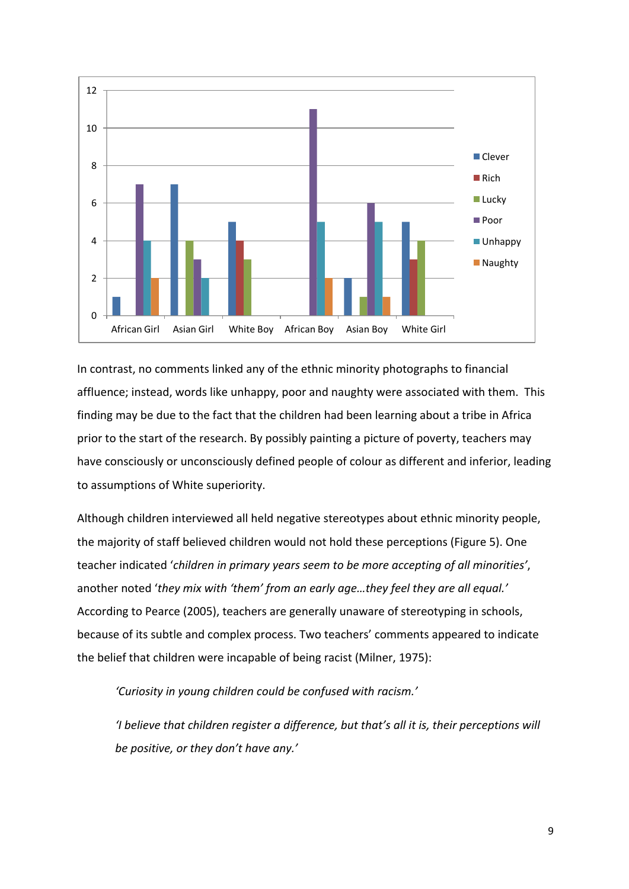

In contrast, no comments linked any of the ethnic minority photographs to financial affluence; instead, words like unhappy, poor and naughty were associated with them. This finding may be due to the fact that the children had been learning about a tribe in Africa prior to the start of the research. By possibly painting a picture of poverty, teachers may have consciously or unconsciously defined people of colour as different and inferior, leading to assumptions of White superiority.

Although children interviewed all held negative stereotypes about ethnic minority people, the majority of staff believed children would not hold these perceptions (Figure 5). One teacher indicated 'children in primary years seem to be more accepting of all minorities', another noted 'they mix with 'them' from an early age...they feel they are all equal.' According to Pearce (2005), teachers are generally unaware of stereotyping in schools, because of its subtle and complex process. Two teachers' comments appeared to indicate the belief that children were incapable of being racist (Milner, 1975):

'Curiosity in young children could be confused with racism.'

'*I* believe that children register a difference, but that's all it is, their perceptions will *be positive, or they don't have any.'*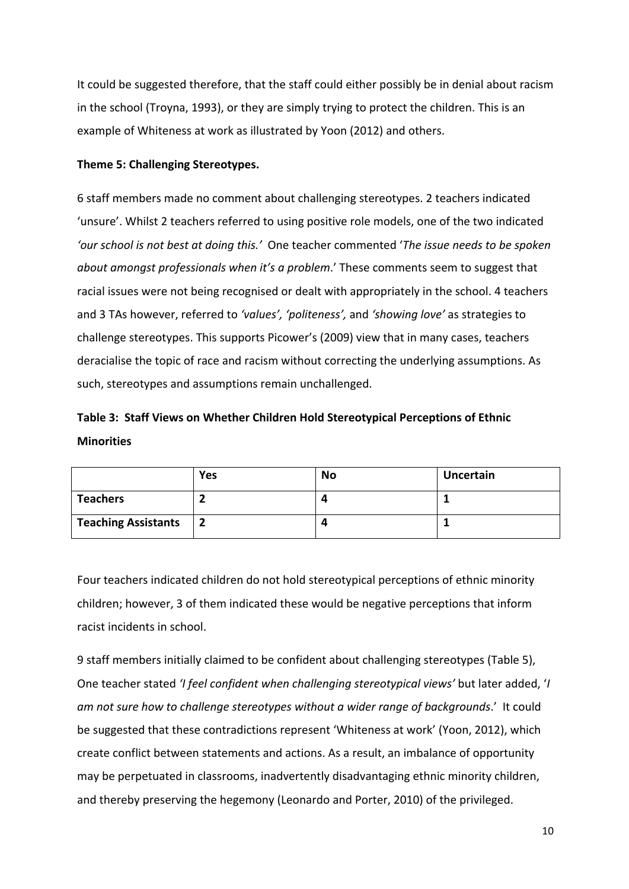It could be suggested therefore, that the staff could either possibly be in denial about racism in the school (Troyna, 1993), or they are simply trying to protect the children. This is an example of Whiteness at work as illustrated by Yoon (2012) and others.

# **Theme 5: Challenging Stereotypes.**

6 staff members made no comment about challenging stereotypes. 2 teachers indicated 'unsure'. Whilst 2 teachers referred to using positive role models, one of the two indicated 'our school is not best at doing this.' One teacher commented '*The issue needs to be spoken about amongst professionals when it's a problem.'* These comments seem to suggest that racial issues were not being recognised or dealt with appropriately in the school. 4 teachers and 3 TAs however, referred to 'values', 'politeness', and 'showing love' as strategies to challenge stereotypes. This supports Picower's (2009) view that in many cases, teachers deracialise the topic of race and racism without correcting the underlying assumptions. As such, stereotypes and assumptions remain unchallenged.

# Table 3: Staff Views on Whether Children Hold Stereotypical Perceptions of Ethnic **Minorities**

|                            | <b>Yes</b> | No | <b>Uncertain</b> |
|----------------------------|------------|----|------------------|
| <b>Teachers</b>            |            |    |                  |
| <b>Teaching Assistants</b> | 2          |    |                  |

Four teachers indicated children do not hold stereotypical perceptions of ethnic minority children; however, 3 of them indicated these would be negative perceptions that inform racist incidents in school.

9 staff members initially claimed to be confident about challenging stereotypes (Table 5), One teacher stated *'I feel confident when challenging stereotypical views'* but later added, '*I am* not sure how to challenge stereotypes without a wider range of backgrounds.' It could be suggested that these contradictions represent 'Whiteness at work' (Yoon, 2012), which create conflict between statements and actions. As a result, an imbalance of opportunity may be perpetuated in classrooms, inadvertently disadvantaging ethnic minority children, and thereby preserving the hegemony (Leonardo and Porter, 2010) of the privileged.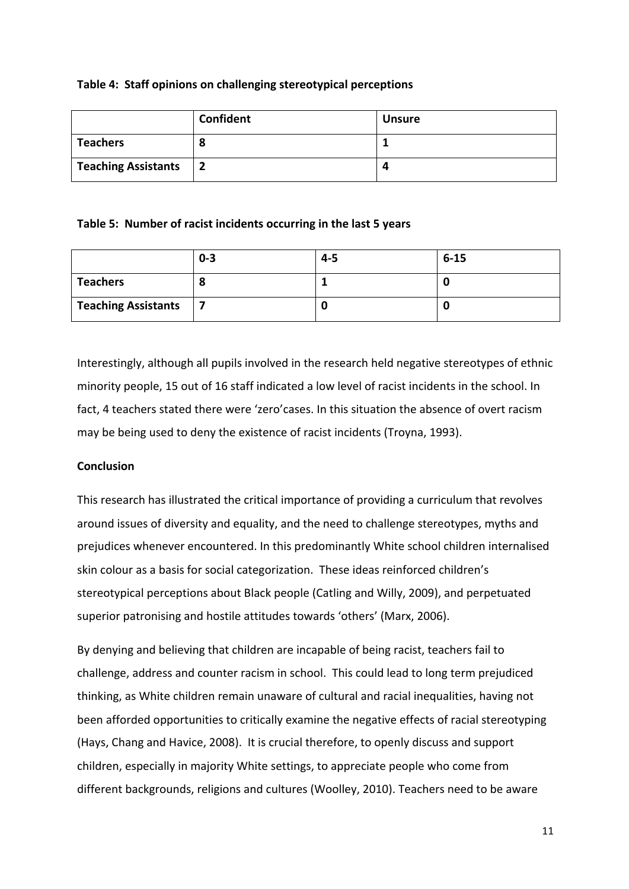# **Table 4: Staff opinions on challenging stereotypical perceptions**

|                            | Confident | <b>Unsure</b> |
|----------------------------|-----------|---------------|
| <b>Teachers</b>            | o         |               |
| <b>Teaching Assistants</b> |           |               |

# Table 5: Number of racist incidents occurring in the last 5 years

|                            | $0 - 3$ | $4 - 5$ | $6 - 15$ |
|----------------------------|---------|---------|----------|
| <b>Teachers</b>            |         |         |          |
| <b>Teaching Assistants</b> |         |         |          |

Interestingly, although all pupils involved in the research held negative stereotypes of ethnic minority people, 15 out of 16 staff indicated a low level of racist incidents in the school. In fact, 4 teachers stated there were 'zero'cases. In this situation the absence of overt racism may be being used to deny the existence of racist incidents (Troyna, 1993).

# **Conclusion**

This research has illustrated the critical importance of providing a curriculum that revolves around issues of diversity and equality, and the need to challenge stereotypes, myths and prejudices whenever encountered. In this predominantly White school children internalised skin colour as a basis for social categorization. These ideas reinforced children's stereotypical perceptions about Black people (Catling and Willy, 2009), and perpetuated superior patronising and hostile attitudes towards 'others' (Marx, 2006).

By denying and believing that children are incapable of being racist, teachers fail to challenge, address and counter racism in school. This could lead to long term prejudiced thinking, as White children remain unaware of cultural and racial inequalities, having not been afforded opportunities to critically examine the negative effects of racial stereotyping (Hays, Chang and Havice, 2008). It is crucial therefore, to openly discuss and support children, especially in majority White settings, to appreciate people who come from different backgrounds, religions and cultures (Woolley, 2010). Teachers need to be aware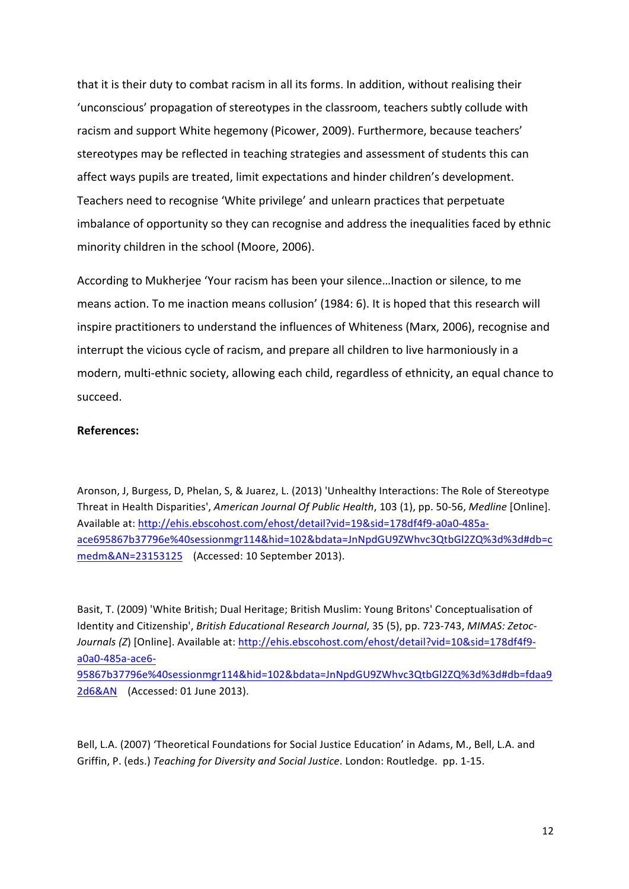that it is their duty to combat racism in all its forms. In addition, without realising their 'unconscious' propagation of stereotypes in the classroom, teachers subtly collude with racism and support White hegemony (Picower, 2009). Furthermore, because teachers' stereotypes may be reflected in teaching strategies and assessment of students this can affect ways pupils are treated, limit expectations and hinder children's development. Teachers need to recognise 'White privilege' and unlearn practices that perpetuate imbalance of opportunity so they can recognise and address the inequalities faced by ethnic minority children in the school (Moore, 2006).

According to Mukherjee 'Your racism has been your silence...Inaction or silence, to me means action. To me inaction means collusion' (1984: 6). It is hoped that this research will inspire practitioners to understand the influences of Whiteness (Marx, 2006), recognise and interrupt the vicious cycle of racism, and prepare all children to live harmoniously in a modern, multi-ethnic society, allowing each child, regardless of ethnicity, an equal chance to succeed.

## **References:**

2d6&AN (Accessed: 01 June 2013).

Aronson, J, Burgess, D, Phelan, S, & Juarez, L. (2013) 'Unhealthy Interactions: The Role of Stereotype Threat in Health Disparities', American Journal Of Public Health, 103 (1), pp. 50-56, Medline [Online]. Available at: http://ehis.ebscohost.com/ehost/detail?vid=19&sid=178df4f9-a0a0-485aace695867b37796e%40sessionmgr114&hid=102&bdata=JnNpdGU9ZWhvc3QtbGl2ZQ%3d%3d#db=c medm&AN=23153125 (Accessed: 10 September 2013).

Basit, T. (2009) 'White British; Dual Heritage; British Muslim: Young Britons' Conceptualisation of Identity and Citizenship', *British Educational Research Journal*, 35 (5), pp. 723-743, *MIMAS: Zetoc-Journals* (Z) [Online]. Available at: http://ehis.ebscohost.com/ehost/detail?vid=10&sid=178df4f9a0a0-485a-ace6- 95867b37796e%40sessionmgr114&hid=102&bdata=JnNpdGU9ZWhvc3QtbGl2ZQ%3d%3d#db=fdaa9

Bell, L.A. (2007) 'Theoretical Foundations for Social Justice Education' in Adams, M., Bell, L.A. and

Griffin, P. (eds.) *Teaching for Diversity and Social Justice*. London: Routledge. pp. 1-15.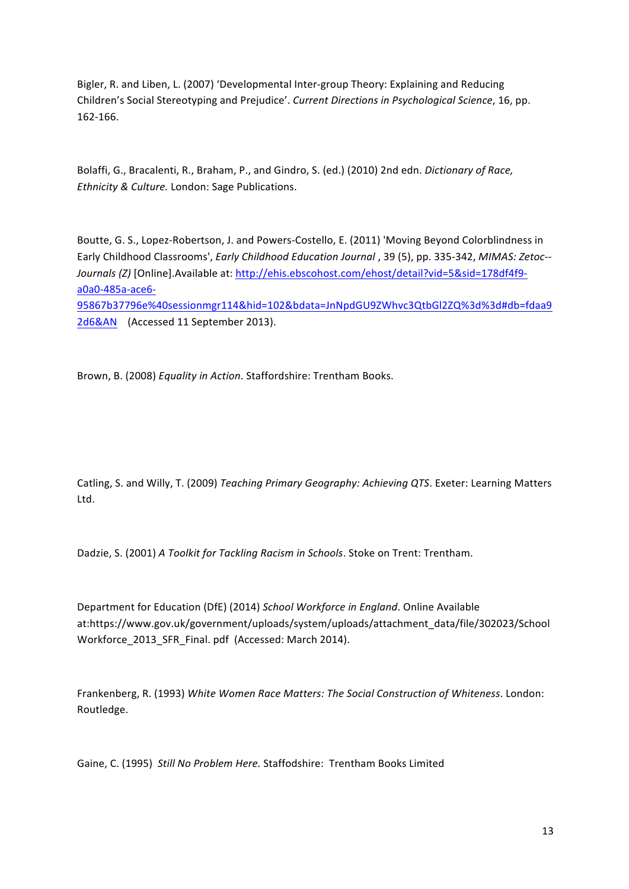Bigler, R. and Liben, L. (2007) 'Developmental Inter-group Theory: Explaining and Reducing Children's Social Stereotyping and Prejudice'. *Current Directions in Psychological Science*, 16, pp. 162-166.

Bolaffi, G., Bracalenti, R., Braham, P., and Gindro, S. (ed.) (2010) 2nd edn. *Dictionary of Race,* **Ethnicity & Culture.** London: Sage Publications.

Boutte, G. S., Lopez-Robertson, J. and Powers-Costello, E. (2011) 'Moving Beyond Colorblindness in Early Childhood Classrooms', *Early Childhood Education Journal* , 39 (5), pp. 335-342, *MIMAS: Zetoc--*Journals (Z) [Online].Available at: http://ehis.ebscohost.com/ehost/detail?vid=5&sid=178df4f9a0a0-485a-ace6- 95867b37796e%40sessionmgr114&hid=102&bdata=JnNpdGU9ZWhvc3QtbGl2ZQ%3d%3d#db=fdaa9

2d6&AN (Accessed 11 September 2013).

Brown, B. (2008) *Equality in Action*. Staffordshire: Trentham Books.

Catling, S. and Willy, T. (2009) *Teaching Primary Geography: Achieving QTS*. Exeter: Learning Matters Ltd.

Dadzie, S. (2001) A Toolkit for Tackling Racism in Schools. Stoke on Trent: Trentham.

Department for Education (DfE) (2014) School Workforce in England. Online Available at:https://www.gov.uk/government/uploads/system/uploads/attachment\_data/file/302023/School Workforce\_2013\_SFR\_Final. pdf (Accessed: March 2014).

Frankenberg, R. (1993) White Women Race Matters: The Social Construction of Whiteness. London: Routledge.

Gaine, C. (1995) Still No Problem Here. Staffodshire: Trentham Books Limited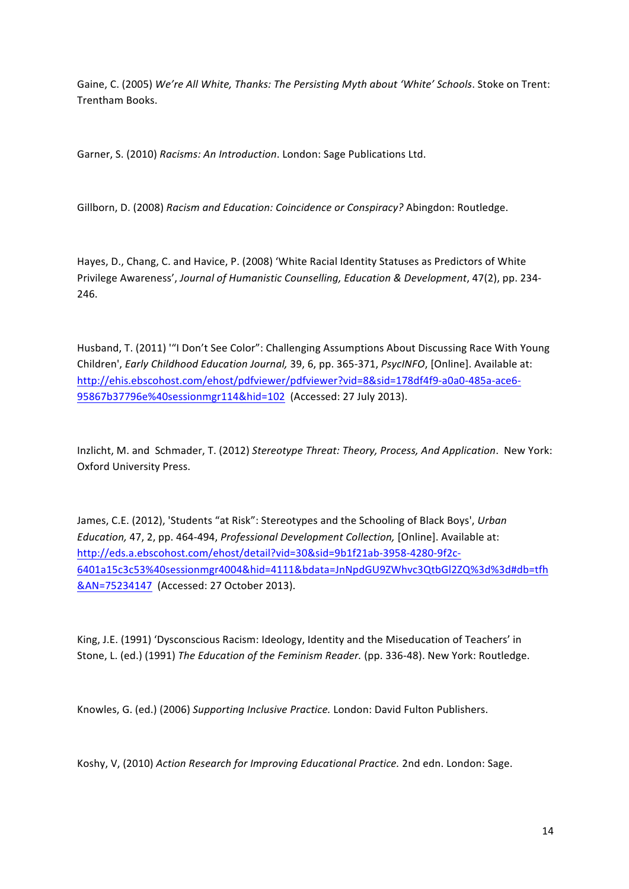Gaine, C. (2005) We're All White, Thanks: The Persisting Myth about 'White' Schools. Stoke on Trent: Trentham Books.

Garner, S. (2010) *Racisms: An Introduction*. London: Sage Publications Ltd.

Gillborn, D. (2008) *Racism and Education: Coincidence or Conspiracy?* Abingdon: Routledge.

Hayes, D., Chang, C. and Havice, P. (2008) 'White Racial Identity Statuses as Predictors of White Privilege Awareness', Journal of Humanistic Counselling, Education & Development, 47(2), pp. 234-246.

Husband, T. (2011) "'I Don't See Color": Challenging Assumptions About Discussing Race With Young Children', *Early Childhood Education Journal*, 39, 6, pp. 365-371, *PsycINFO*, [Online]. Available at: http://ehis.ebscohost.com/ehost/pdfviewer/pdfviewer?vid=8&sid=178df4f9-a0a0-485a-ace6- 95867b37796e%40sessionmgr114&hid=102 (Accessed: 27 July 2013).

Inzlicht, M. and Schmader, T. (2012) Stereotype Threat: Theory, Process, And Application. New York: Oxford University Press.

James, C.E. (2012), 'Students "at Risk": Stereotypes and the Schooling of Black Boys', *Urban Education, 47, 2, pp. 464-494, Professional Development Collection, [Online]. Available at:* http://eds.a.ebscohost.com/ehost/detail?vid=30&sid=9b1f21ab-3958-4280-9f2c-6401a15c3c53%40sessionmgr4004&hid=4111&bdata=JnNpdGU9ZWhvc3QtbGl2ZQ%3d%3d#db=tfh &AN=75234147 (Accessed: 27 October 2013).

King, J.E. (1991) 'Dysconscious Racism: Ideology, Identity and the Miseducation of Teachers' in Stone, L. (ed.) (1991) The Education of the Feminism Reader. (pp. 336-48). New York: Routledge.

Knowles, G. (ed.) (2006) Supporting Inclusive Practice. London: David Fulton Publishers.

Koshy, V, (2010) Action Research for Improving Educational Practice. 2nd edn. London: Sage.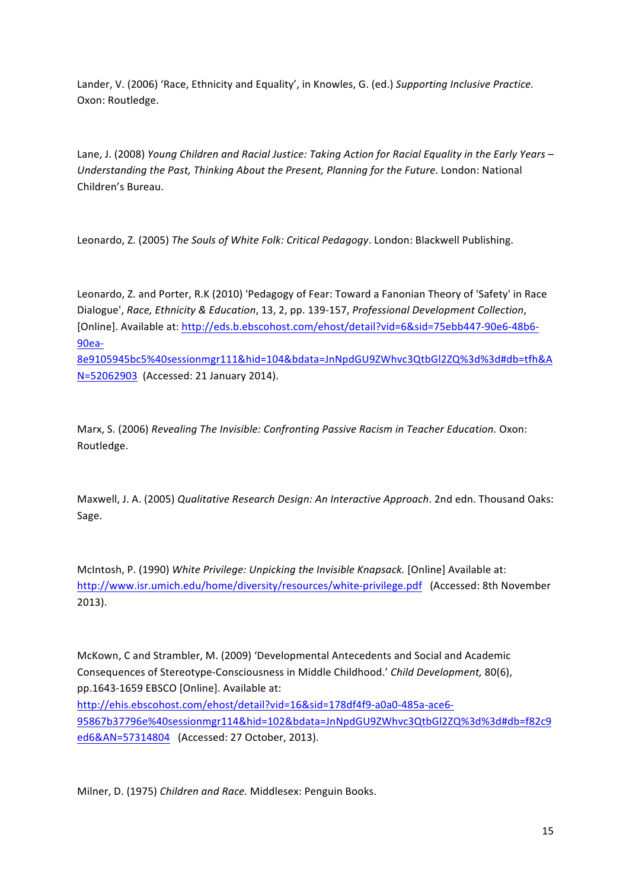Lander, V. (2006) 'Race, Ethnicity and Equality', in Knowles, G. (ed.) Supporting Inclusive Practice. Oxon: Routledge.

Lane, J. (2008) Young Children and Racial Justice: Taking Action for Racial Equality in the Early Years -Understanding the Past, Thinking About the Present, Planning for the Future. London: National Children's Bureau.

Leonardo, Z. (2005) *The Souls of White Folk: Critical Pedagogy*. London: Blackwell Publishing.

Leonardo, Z. and Porter, R.K (2010) 'Pedagogy of Fear: Toward a Fanonian Theory of 'Safety' in Race Dialogue', Race, Ethnicity & Education, 13, 2, pp. 139-157, Professional Development Collection, [Online]. Available at: http://eds.b.ebscohost.com/ehost/detail?vid=6&sid=75ebb447-90e6-48b6-90ea-8e9105945bc5%40sessionmgr111&hid=104&bdata=JnNpdGU9ZWhvc3QtbGl2ZQ%3d%3d#db=tfh&A

N=52062903 (Accessed: 21 January 2014).

Marx, S. (2006) Revealing The Invisible: Confronting Passive Racism in Teacher Education. Oxon: Routledge.

Maxwell, J. A. (2005) *Qualitative Research Design: An Interactive Approach*. 2nd edn. Thousand Oaks: Sage.

McIntosh, P. (1990) White Privilege: Unpicking the Invisible Knapsack. [Online] Available at: http://www.isr.umich.edu/home/diversity/resources/white-privilege.pdf (Accessed: 8th November 2013).

McKown, C and Strambler, M. (2009) 'Developmental Antecedents and Social and Academic Consequences of Stereotype-Consciousness in Middle Childhood.' *Child Development,* 80(6), pp.1643-1659 EBSCO [Online]. Available at: http://ehis.ebscohost.com/ehost/detail?vid=16&sid=178df4f9-a0a0-485a-ace6- 95867b37796e%40sessionmgr114&hid=102&bdata=JnNpdGU9ZWhvc3QtbGl2ZQ%3d%3d#db=f82c9 ed6&AN=57314804 (Accessed: 27 October, 2013).

Milner, D. (1975) Children and Race. Middlesex: Penguin Books.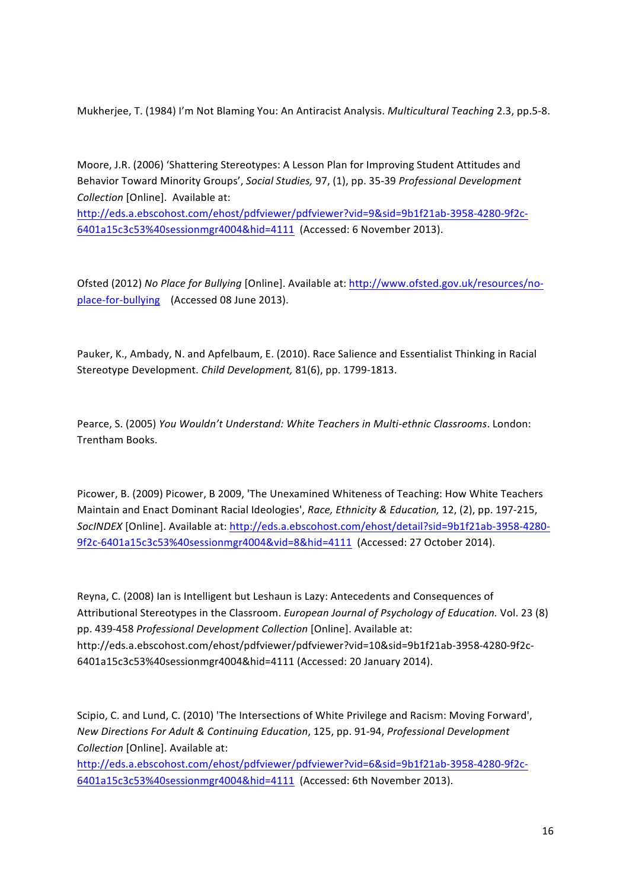Mukherjee, T. (1984) I'm Not Blaming You: An Antiracist Analysis. *Multicultural Teaching* 2.3, pp.5-8.

Moore, J.R. (2006) 'Shattering Stereotypes: A Lesson Plan for Improving Student Attitudes and Behavior Toward Minority Groups', Social Studies, 97, (1), pp. 35-39 *Professional Development Collection* [Online]. Available at:

http://eds.a.ebscohost.com/ehost/pdfviewer/pdfviewer?vid=9&sid=9b1f21ab-3958-4280-9f2c-6401a15c3c53%40sessionmgr4004&hid=4111 (Accessed: 6 November 2013).

Ofsted (2012) No Place for Bullying [Online]. Available at: http://www.ofsted.gov.uk/resources/noplace-for-bullying (Accessed 08 June 2013).

Pauker, K., Ambady, N. and Apfelbaum, E. (2010). Race Salience and Essentialist Thinking in Racial Stereotype Development. *Child Development*, 81(6), pp. 1799-1813.

Pearce, S. (2005) You Wouldn't Understand: White Teachers in Multi-ethnic Classrooms. London: Trentham Books.

Picower, B. (2009) Picower, B 2009, 'The Unexamined Whiteness of Teaching: How White Teachers Maintain and Enact Dominant Racial Ideologies', *Race, Ethnicity & Education*, 12, (2), pp. 197-215, SocINDEX [Online]. Available at: http://eds.a.ebscohost.com/ehost/detail?sid=9b1f21ab-3958-4280-9f2c-6401a15c3c53%40sessionmgr4004&vid=8&hid=4111 (Accessed: 27 October 2014).

Reyna, C. (2008) Ian is Intelligent but Leshaun is Lazy: Antecedents and Consequences of Attributional Stereotypes in the Classroom. *European Journal of Psychology of Education*. Vol. 23 (8) pp. 439-458 Professional Development Collection [Online]. Available at: http://eds.a.ebscohost.com/ehost/pdfviewer/pdfviewer?vid=10&sid=9b1f21ab-3958-4280-9f2c-6401a15c3c53%40sessionmgr4004&hid=4111 (Accessed: 20 January 2014).

Scipio, C. and Lund, C. (2010) 'The Intersections of White Privilege and Racism: Moving Forward', *New Directions For Adult & Continuing Education*, 125, pp. 91-94, *Professional Development Collection* [Online]. Available at:

http://eds.a.ebscohost.com/ehost/pdfviewer/pdfviewer?vid=6&sid=9b1f21ab-3958-4280-9f2c-6401a15c3c53%40sessionmgr4004&hid=4111 (Accessed: 6th November 2013).